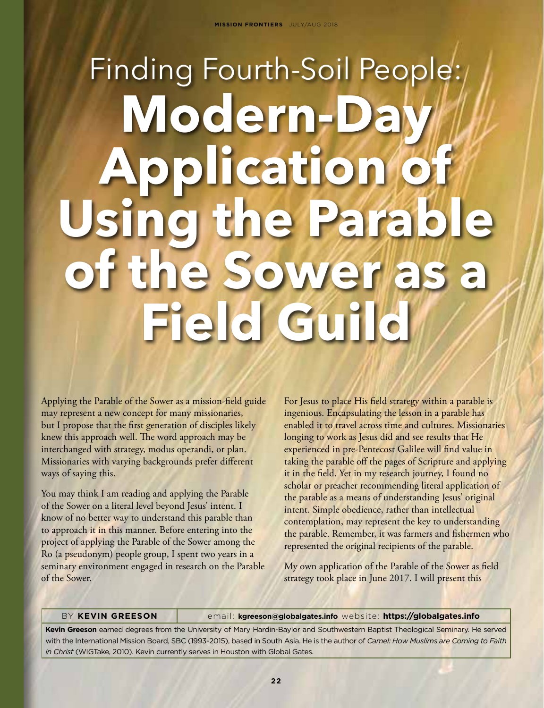# Finding Fourth-Soil People: Modern-Da **Application of Using the Parable of the Sower as a Field Guild**

Applying the Parable of the Sower as a mission-field guide may represent a new concept for many missionaries, but I propose that the first generation of disciples likely knew this approach well. The word approach may be interchanged with strategy, modus operandi, or plan. Missionaries with varying backgrounds prefer different ways of saying this.

You may think I am reading and applying the Parable of the Sower on a literal level beyond Jesus' intent. I know of no better way to understand this parable than to approach it in this manner. Before entering into the project of applying the Parable of the Sower among the Ro (a pseudonym) people group, I spent two years in a seminary environment engaged in research on the Parable of the Sower.

For Jesus to place His field strategy within a parable is ingenious. Encapsulating the lesson in a parable has enabled it to travel across time and cultures. Missionaries longing to work as Jesus did and see results that He experienced in pre-Pentecost Galilee will find value in taking the parable off the pages of Scripture and applying it in the field. Yet in my research journey, I found no scholar or preacher recommending literal application of the parable as a means of understanding Jesus' original intent. Simple obedience, rather than intellectual contemplation, may represent the key to understanding the parable. Remember, it was farmers and fishermen who represented the original recipients of the parable.

My own application of the Parable of the Sower as field strategy took place in June 2017. I will present this

#### BY **KEVIN GREESON** email: **kgreeson@globalgates.info** website: **https://globalgates.info**

**Kevin Greeson** earned degrees from the University of Mary Hardin-Baylor and Southwestern Baptist Theological Seminary. He served with the International Mission Board, SBC (1993-2015), based in South Asia. He is the author of *Camel: How Muslims are Coming to Faith in Christ* (WIGTake, 2010). Kevin currently serves in Houston with Global Gates.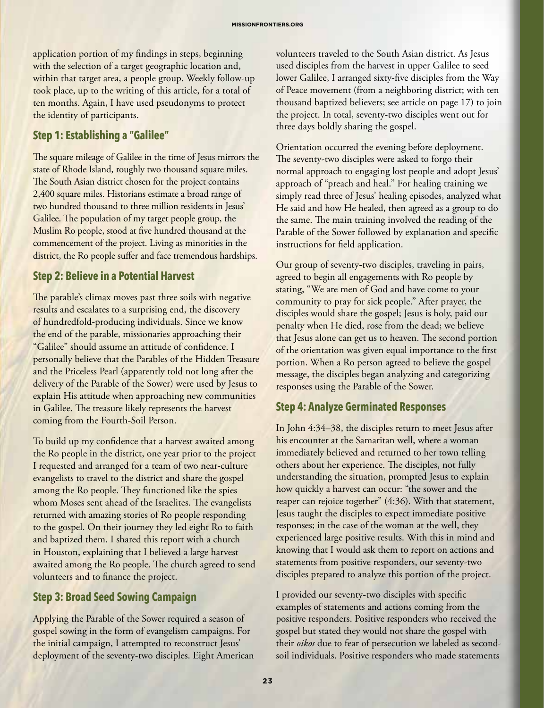application portion of my findings in steps, beginning with the selection of a target geographic location and, within that target area, a people group. Weekly follow-up took place, up to the writing of this article, for a total of ten months. Again, I have used pseudonyms to protect the identity of participants.

#### **Step 1: Establishing a "Galilee"**

The square mileage of Galilee in the time of Jesus mirrors the state of Rhode Island, roughly two thousand square miles. The South Asian district chosen for the project contains 2,400 square miles. Historians estimate a broad range of two hundred thousand to three million residents in Jesus' Galilee. The population of my target people group, the Muslim Ro people, stood at five hundred thousand at the commencement of the project. Living as minorities in the district, the Ro people suffer and face tremendous hardships.

## **Step 2: Believe in a Potential Harvest**

The parable's climax moves past three soils with negative results and escalates to a surprising end, the discovery of hundredfold-producing individuals. Since we know the end of the parable, missionaries approaching their "Galilee" should assume an attitude of confidence. I personally believe that the Parables of the Hidden Treasure and the Priceless Pearl (apparently told not long after the delivery of the Parable of the Sower) were used by Jesus to explain His attitude when approaching new communities in Galilee. The treasure likely represents the harvest coming from the Fourth-Soil Person.

To build up my confidence that a harvest awaited among the Ro people in the district, one year prior to the project I requested and arranged for a team of two near-culture evangelists to travel to the district and share the gospel among the Ro people. They functioned like the spies whom Moses sent ahead of the Israelites. The evangelists returned with amazing stories of Ro people responding to the gospel. On their journey they led eight Ro to faith and baptized them. I shared this report with a church in Houston, explaining that I believed a large harvest awaited among the Ro people. The church agreed to send volunteers and to finance the project.

## **Step 3: Broad Seed Sowing Campaign**

Applying the Parable of the Sower required a season of gospel sowing in the form of evangelism campaigns. For the initial campaign, I attempted to reconstruct Jesus' deployment of the seventy-two disciples. Eight American volunteers traveled to the South Asian district. As Jesus used disciples from the harvest in upper Galilee to seed lower Galilee, I arranged sixty-five disciples from the Way of Peace movement (from a neighboring district; with ten thousand baptized believers; see article on page 17) to join the project. In total, seventy-two disciples went out for three days boldly sharing the gospel.

Orientation occurred the evening before deployment. The seventy-two disciples were asked to forgo their normal approach to engaging lost people and adopt Jesus' approach of "preach and heal." For healing training we simply read three of Jesus' healing episodes, analyzed what He said and how He healed, then agreed as a group to do the same. The main training involved the reading of the Parable of the Sower followed by explanation and specific instructions for field application.

Our group of seventy-two disciples, traveling in pairs, agreed to begin all engagements with Ro people by stating, "We are men of God and have come to your community to pray for sick people." After prayer, the disciples would share the gospel; Jesus is holy, paid our penalty when He died, rose from the dead; we believe that Jesus alone can get us to heaven. The second portion of the orientation was given equal importance to the first portion. When a Ro person agreed to believe the gospel message, the disciples began analyzing and categorizing responses using the Parable of the Sower.

## **Step 4: Analyze Germinated Responses**

In John 4:34–38, the disciples return to meet Jesus after his encounter at the Samaritan well, where a woman immediately believed and returned to her town telling others about her experience. The disciples, not fully understanding the situation, prompted Jesus to explain how quickly a harvest can occur: "the sower and the reaper can rejoice together" (4:36). With that statement, Jesus taught the disciples to expect immediate positive responses; in the case of the woman at the well, they experienced large positive results. With this in mind and knowing that I would ask them to report on actions and statements from positive responders, our seventy-two disciples prepared to analyze this portion of the project.

I provided our seventy-two disciples with specific examples of statements and actions coming from the positive responders. Positive responders who received the gospel but stated they would not share the gospel with their *oikos* due to fear of persecution we labeled as secondsoil individuals. Positive responders who made statements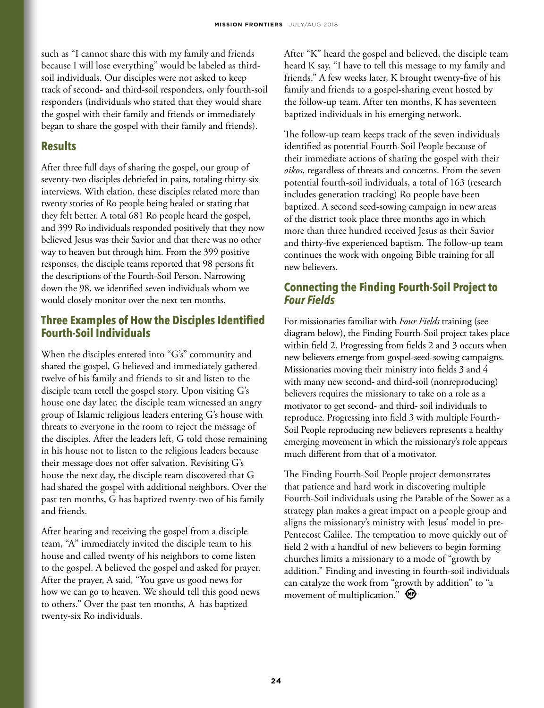such as "I cannot share this with my family and friends because I will lose everything" would be labeled as thirdsoil individuals. Our disciples were not asked to keep track of second- and third-soil responders, only fourth-soil responders (individuals who stated that they would share the gospel with their family and friends or immediately began to share the gospel with their family and friends).

#### **Results**

After three full days of sharing the gospel, our group of seventy-two disciples debriefed in pairs, totaling thirty-six interviews. With elation, these disciples related more than twenty stories of Ro people being healed or stating that they felt better. A total 681 Ro people heard the gospel, and 399 Ro individuals responded positively that they now believed Jesus was their Savior and that there was no other way to heaven but through him. From the 399 positive responses, the disciple teams reported that 98 persons fit the descriptions of the Fourth-Soil Person. Narrowing down the 98, we identified seven individuals whom we would closely monitor over the next ten months.

## **Three Examples of How the Disciples Identified Fourth-Soil Individuals**

When the disciples entered into "G's" community and shared the gospel, G believed and immediately gathered twelve of his family and friends to sit and listen to the disciple team retell the gospel story. Upon visiting G's house one day later, the disciple team witnessed an angry group of Islamic religious leaders entering G's house with threats to everyone in the room to reject the message of the disciples. After the leaders left, G told those remaining in his house not to listen to the religious leaders because their message does not offer salvation. Revisiting G's house the next day, the disciple team discovered that G had shared the gospel with additional neighbors. Over the past ten months, G has baptized twenty-two of his family and friends.

After hearing and receiving the gospel from a disciple team, "A" immediately invited the disciple team to his house and called twenty of his neighbors to come listen to the gospel. A believed the gospel and asked for prayer. After the prayer, A said, "You gave us good news for how we can go to heaven. We should tell this good news to others." Over the past ten months, A has baptized twenty-six Ro individuals.

After "K" heard the gospel and believed, the disciple team heard K say, "I have to tell this message to my family and friends." A few weeks later, K brought twenty-five of his family and friends to a gospel-sharing event hosted by the follow-up team. After ten months, K has seventeen baptized individuals in his emerging network.

The follow-up team keeps track of the seven individuals identified as potential Fourth-Soil People because of their immediate actions of sharing the gospel with their *oikos*, regardless of threats and concerns. From the seven potential fourth-soil individuals, a total of 163 (research includes generation tracking) Ro people have been baptized. A second seed-sowing campaign in new areas of the district took place three months ago in which more than three hundred received Jesus as their Savior and thirty-five experienced baptism. The follow-up team continues the work with ongoing Bible training for all new believers.

# **Connecting the Finding Fourth-Soil Project to**  *Four Fields*

For missionaries familiar with *Four Fields* training (see diagram below), the Finding Fourth-Soil project takes place within field 2. Progressing from fields 2 and 3 occurs when new believers emerge from gospel-seed-sowing campaigns. Missionaries moving their ministry into fields 3 and 4 with many new second- and third-soil (nonreproducing) believers requires the missionary to take on a role as a motivator to get second- and third- soil individuals to reproduce. Progressing into field 3 with multiple Fourth-Soil People reproducing new believers represents a healthy emerging movement in which the missionary's role appears much different from that of a motivator.

The Finding Fourth-Soil People project demonstrates that patience and hard work in discovering multiple Fourth-Soil individuals using the Parable of the Sower as a strategy plan makes a great impact on a people group and aligns the missionary's ministry with Jesus' model in pre-Pentecost Galilee. The temptation to move quickly out of field 2 with a handful of new believers to begin forming churches limits a missionary to a mode of "growth by addition." Finding and investing in fourth-soil individuals can catalyze the work from "growth by addition" to "a movement of multiplication."